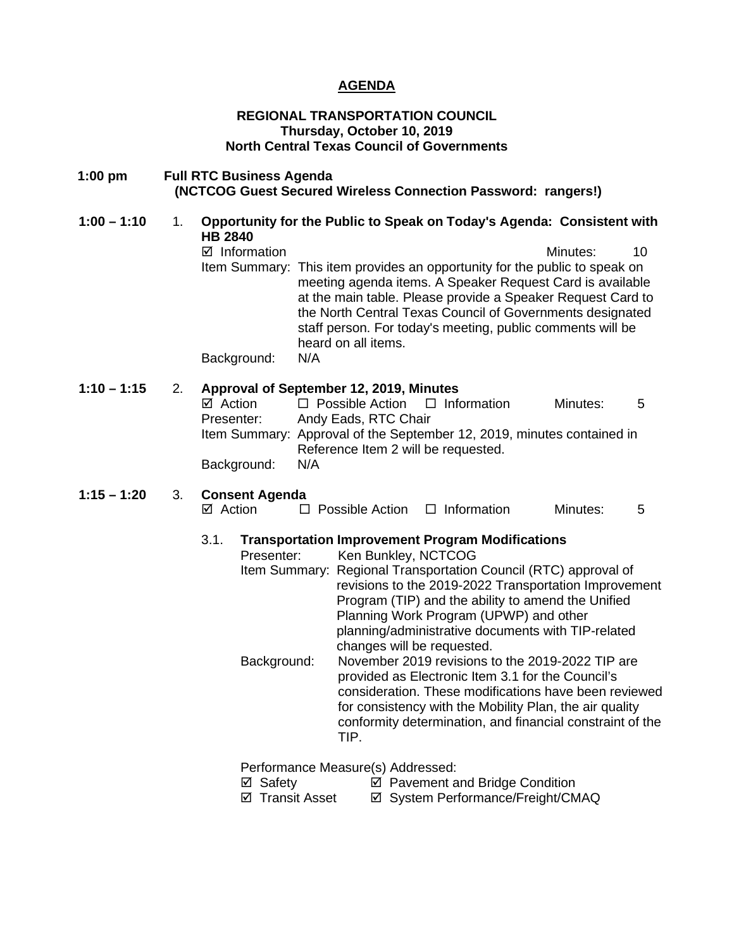### **AGENDA**

### **REGIONAL TRANSPORTATION COUNCIL Thursday, October 10, 2019 North Central Texas Council of Governments**

### **1:00 pm Full RTC Business Agenda (NCTCOG Guest Secured Wireless Connection Password: rangers!)**

- **1:00 – 1:10** 1. **Opportunity for the Public to Speak on Today's Agenda: Consistent with HB 2840** 
	- $\boxtimes$  Information and a set of the matrice of the Minutes: 10 Item Summary: This item provides an opportunity for the public to speak on meeting agenda items. A Speaker Request Card is available at the main table. Please provide a Speaker Request Card to the North Central Texas Council of Governments designated staff person. For today's meeting, public comments will be heard on all items.

Background: N/A

### **1:10 – 1:15** 2. **Approval of September 12, 2019, Minutes**

| $\boxtimes$ Action | $\Box$ Possible Action $\Box$ Information                              |  | Minutes: | 5 |
|--------------------|------------------------------------------------------------------------|--|----------|---|
| Presenter:         | Andy Eads, RTC Chair                                                   |  |          |   |
|                    | Item Summary: Approval of the September 12, 2019, minutes contained in |  |          |   |
|                    | Reference Item 2 will be requested.                                    |  |          |   |
| Background:        | N/A                                                                    |  |          |   |

## **1:15 – 1:20** 3. **Consent Agenda**

| ⊠ Action | $\Box$ Possible Action | $\Box$ Information | Minutes: |  |
|----------|------------------------|--------------------|----------|--|
|          |                        |                    |          |  |

### 3.1. **Transportation Improvement Program Modifications**

| Presenter:  | Ken Bunkley, NCTCOG                                             |
|-------------|-----------------------------------------------------------------|
|             | Item Summary: Regional Transportation Council (RTC) approval of |
|             | revisions to the 2019-2022 Transportation Improvement           |
|             | Program (TIP) and the ability to amend the Unified              |
|             | Planning Work Program (UPWP) and other                          |
|             | planning/administrative documents with TIP-related              |
|             | changes will be requested.                                      |
| Background: | November 2019 revisions to the 2019-2022 TIP are                |
|             | provided as Electronic Item 3.1 for the Council's               |
|             | consideration. These modifications have been reviewed           |
|             | for consistency with the Mobility Plan, the air quality         |
|             | conformity determination, and financial constraint of the       |
|             | TIP.                                                            |
|             |                                                                 |

Performance Measure(s) Addressed:

- 
- <p>✓ Safety</p>\n<p>✓ Payment and Bridge Condition</p>\n<p>✓ Transfer</p>\n<p>✓ System Performance/Freight/CM</p>  $\boxtimes$  System Performance/Freight/CMAQ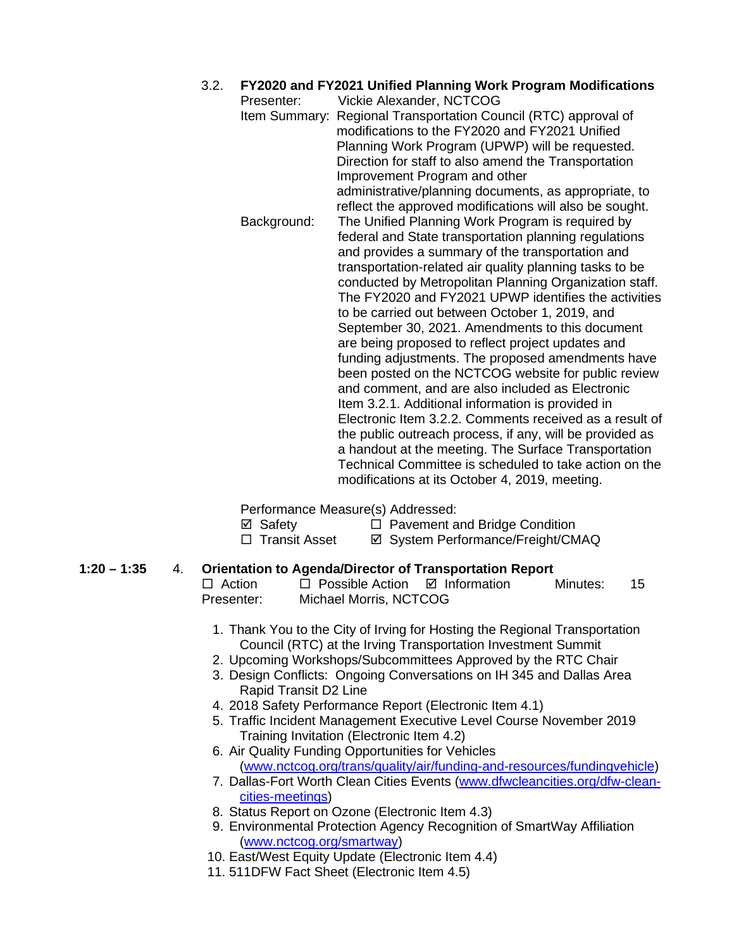### 3.2. **FY2020 and FY2021 Unified Planning Work Program Modifications**

Presenter: Vickie Alexander, NCTCOG Item Summary: Regional Transportation Council (RTC) approval of modifications to the FY2020 and FY2021 Unified Planning Work Program (UPWP) will be requested. Direction for staff to also amend the Transportation Improvement Program and other administrative/planning documents, as appropriate, to reflect the approved modifications will also be sought. Background: The Unified Planning Work Program is required by federal and State transportation planning regulations and provides a summary of the transportation and transportation-related air quality planning tasks to be conducted by Metropolitan Planning Organization staff. The FY2020 and FY2021 UPWP identifies the activities to be carried out between October 1, 2019, and September 30, 2021. Amendments to this document are being proposed to reflect project updates and funding adjustments. The proposed amendments have been posted on the NCTCOG website for public review and comment, and are also included as Electronic Item 3.2.1. Additional information is provided in Electronic Item 3.2.2. Comments received as a result of the public outreach process, if any, will be provided as a handout at the meeting. The Surface Transportation Technical Committee is scheduled to take action on the modifications at its October 4, 2019, meeting.

Performance Measure(s) Addressed:

- $\boxtimes$  Safety  $\Box$  Pavement and Bridge Condition
- □ Transit Asset  $\Box$  System Performance/Freight/CMAQ

# **1:20 – 1:35** 4. **Orientation to Agenda/Director of Transportation Report**

- $\Box$  Possible Action  $\Box$  Information Minutes: 15 Presenter: Michael Morris, NCTCOG
	- 1. Thank You to the City of Irving for Hosting the Regional Transportation Council (RTC) at the Irving Transportation Investment Summit
	- 2. Upcoming Workshops/Subcommittees Approved by the RTC Chair
	- 3. Design Conflicts: Ongoing Conversations on IH 345 and Dallas Area Rapid Transit D2 Line
	- 4. 2018 Safety Performance Report (Electronic Item 4.1)
	- 5. Traffic Incident Management Executive Level Course November 2019 Training Invitation (Electronic Item 4.2)
	- 6. Air Quality Funding Opportunities for Vehicles [\(www.nctcog.org/trans/quality/air/funding-and-resources/fundingvehicle\)](http://www.nctcog.org/trans/quality/air/funding-and-resources/fundingvehicle)
	- 7. Dallas-Fort Worth Clean Cities Events [\(www.dfwcleancities.org/dfw-clean](http://www.dfwcleancities.org/dfw-clean-cities-meetings)[cities-meetings\)](http://www.dfwcleancities.org/dfw-clean-cities-meetings)
	- 8. Status Report on Ozone (Electronic Item 4.3)
	- 9. Environmental Protection Agency Recognition of SmartWay Affiliation [\(www.nctcog.org/smartway\)](http://www.nctcog.org/smartway)
- 10. East/West Equity Update (Electronic Item 4.4)
- 11. 511DFW Fact Sheet (Electronic Item 4.5)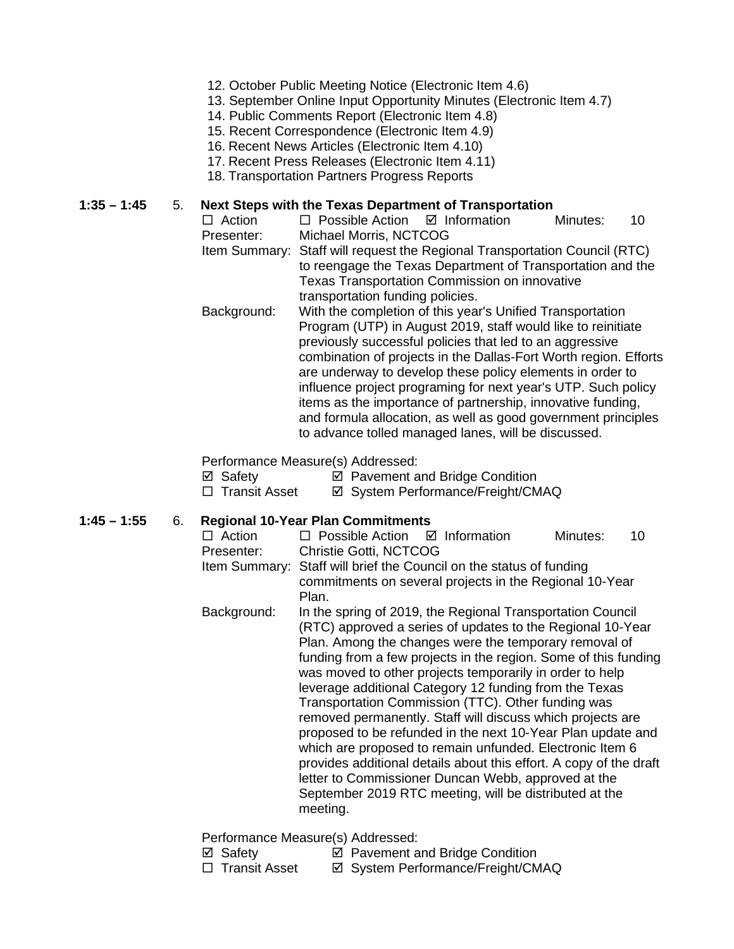- 12. October Public Meeting Notice (Electronic Item 4.6)
- 13. September Online Input Opportunity Minutes (Electronic Item 4.7)
- 14. Public Comments Report (Electronic Item 4.8)
- 15. Recent Correspondence (Electronic Item 4.9)
- 16. Recent News Articles (Electronic Item 4.10)
- 17. Recent Press Releases (Electronic Item 4.11)
- 18. Transportation Partners Progress Reports

### **1:35 – 1:45** 5. **Next Steps with the Texas Department of Transportation**

- $\Box$  Action  $\Box$  Possible Action  $\Box$  Information Minutes: 10 Presenter: Michael Morris, NCTCOG
- Item Summary: Staff will request the Regional Transportation Council (RTC) to reengage the Texas Department of Transportation and the Texas Transportation Commission on innovative transportation funding policies.
- Background: With the completion of this year's Unified Transportation Program (UTP) in August 2019, staff would like to reinitiate previously successful policies that led to an aggressive combination of projects in the Dallas-Fort Worth region. Efforts are underway to develop these policy elements in order to influence project programing for next year's UTP. Such policy items as the importance of partnership, innovative funding, and formula allocation, as well as good government principles to advance tolled managed lanes, will be discussed.

Performance Measure(s) Addressed:

 $\boxtimes$  Safety  $\boxtimes$  Pavement and Bridge Condition

□ Transit Asset  $\Box$  System Performance/Freight/CMAQ

- **1:45 – 1:55** 6. **Regional 10-Year Plan Commitments**   $\Box$  Possible Action  $\Box$  Information Minutes: 10
	- Presenter: Christie Gotti, NCTCOG
	- Item Summary: Staff will brief the Council on the status of funding commitments on several projects in the Regional 10-Year Plan.
	- Background: In the spring of 2019, the Regional Transportation Council (RTC) approved a series of updates to the Regional 10-Year Plan. Among the changes were the temporary removal of funding from a few projects in the region. Some of this funding was moved to other projects temporarily in order to help leverage additional Category 12 funding from the Texas Transportation Commission (TTC). Other funding was removed permanently. Staff will discuss which projects are proposed to be refunded in the next 10-Year Plan update and which are proposed to remain unfunded. Electronic Item 6 provides additional details about this effort. A copy of the draft letter to Commissioner Duncan Webb, approved at the September 2019 RTC meeting, will be distributed at the meeting.

Performance Measure(s) Addressed:

- $\boxtimes$  Safety  $\boxtimes$  Pavement and Bridge Condition
- □ Transit Asset <br>  $\Box$  Transit Asset <br>  $\Box$  System Performance/Freight/CMAQ
-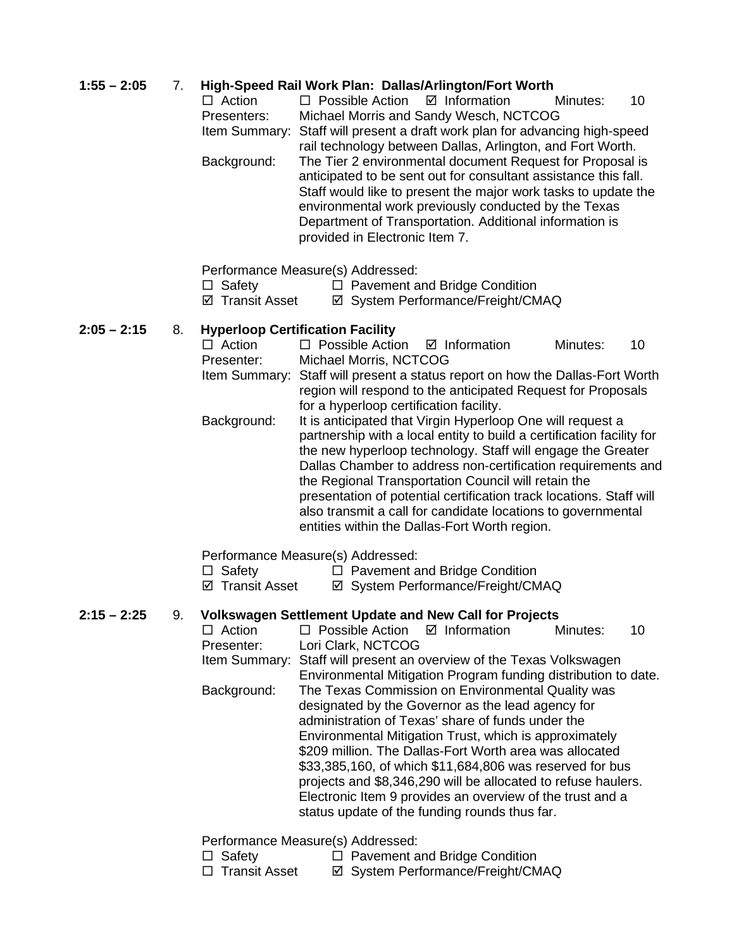### **1:55 – 2:05** 7. **High-Speed Rail Work Plan: Dallas/Arlington/Fort Worth**

| $\Box$ Action | $\Box$ Possible Action $\Box$ Information                                                                                                                                                                                                                                                                                                           |  | Minutes: | 10 |
|---------------|-----------------------------------------------------------------------------------------------------------------------------------------------------------------------------------------------------------------------------------------------------------------------------------------------------------------------------------------------------|--|----------|----|
| Presenters:   | Michael Morris and Sandy Wesch, NCTCOG                                                                                                                                                                                                                                                                                                              |  |          |    |
|               | Item Summary: Staff will present a draft work plan for advancing high-speed<br>rail technology between Dallas, Arlington, and Fort Worth.                                                                                                                                                                                                           |  |          |    |
| Background:   | The Tier 2 environmental document Request for Proposal is<br>anticipated to be sent out for consultant assistance this fall.<br>Staff would like to present the major work tasks to update the<br>environmental work previously conducted by the Texas<br>Department of Transportation. Additional information is<br>provided in Electronic Item 7. |  |          |    |

Performance Measure(s) Addressed:

- $\Box$  Safety  $\Box$  Pavement and Bridge Condition
- $\boxtimes$  **Transit Asset**  $\boxtimes$  System Performance/Freight/CMAQ

### **2:05 – 2:15** 8. **Hyperloop Certification Facility**

 $\Box$  Action  $\Box$  Possible Action  $\Box$  Information Minutes: 10 Presenter: Michael Morris, NCTCOG Item Summary: Staff will present a status report on how the Dallas-Fort Worth region will respond to the anticipated Request for Proposals for a hyperloop certification facility. Background: It is anticipated that Virgin Hyperloop One will request a partnership with a local entity to build a certification facility for the new hyperloop technology. Staff will engage the Greater Dallas Chamber to address non-certification requirements and the Regional Transportation Council will retain the presentation of potential certification track locations. Staff will also transmit a call for candidate locations to governmental entities within the Dallas-Fort Worth region.

### Performance Measure(s) Addressed:

- $\Box$  Safety  $\Box$  Pavement and Bridge Condition
- ⊠ Transit Asset **I** System Performance/Freight/CMAQ

### **2:15 – 2:25** 9. **Volkswagen Settlement Update and New Call for Projects**

| $\Box$ Action | $\Box$ Possible Action $\Box$ Information                      |  |  | Minutes: | 10 |  |
|---------------|----------------------------------------------------------------|--|--|----------|----|--|
| Presenter:    | Lori Clark, NCTCOG                                             |  |  |          |    |  |
| Item Summary: | Staff will present an overview of the Texas Volkswagen         |  |  |          |    |  |
|               | Environmental Mitigation Program funding distribution to date. |  |  |          |    |  |
| Background:   | The Texas Commission on Environmental Quality was              |  |  |          |    |  |
|               | designated by the Governor as the lead agency for              |  |  |          |    |  |
|               | administration of Texas' share of funds under the              |  |  |          |    |  |
|               | Environmental Mitigation Trust, which is approximately         |  |  |          |    |  |
|               | \$209 million. The Dallas-Fort Worth area was allocated        |  |  |          |    |  |
|               | \$33,385,160, of which \$11,684,806 was reserved for bus       |  |  |          |    |  |
|               | projects and \$8,346,290 will be allocated to refuse haulers.  |  |  |          |    |  |
|               | Electronic Item 9 provides an overview of the trust and a      |  |  |          |    |  |
|               | status update of the funding rounds thus far.                  |  |  |          |    |  |
|               |                                                                |  |  |          |    |  |
|               |                                                                |  |  |          |    |  |

### Performance Measure(s) Addressed:

- $\Box$  Safety  $\Box$  Pavement and Bridge Condition
- □ Transit Asset  $\Box$  System Performance/Freight/CMAQ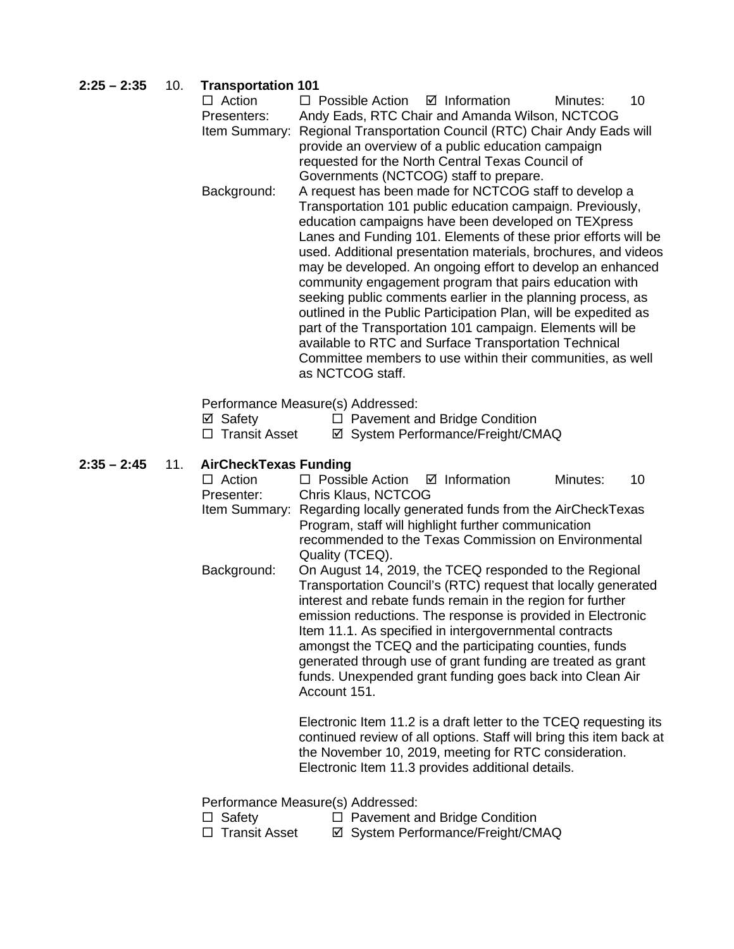### **2:25 – 2:35** 10. **Transportation 101**

| Action        | $\Box$ Possible Action $\Box$ Information                                                                          |  | Minutes: | 10 |  |  |  |
|---------------|--------------------------------------------------------------------------------------------------------------------|--|----------|----|--|--|--|
| Presenters:   | Andy Eads, RTC Chair and Amanda Wilson, NCTCOG                                                                     |  |          |    |  |  |  |
| Item Summary: | Regional Transportation Council (RTC) Chair Andy Eads will                                                         |  |          |    |  |  |  |
|               | provide an overview of a public education campaign                                                                 |  |          |    |  |  |  |
|               | requested for the North Central Texas Council of                                                                   |  |          |    |  |  |  |
|               | Governments (NCTCOG) staff to prepare.                                                                             |  |          |    |  |  |  |
| Background:   | A request has been made for NCTCOG staff to develop a<br>Transportation 101 public education campaign. Previously, |  |          |    |  |  |  |
|               |                                                                                                                    |  |          |    |  |  |  |
|               | education campaigns have been developed on TEXpress                                                                |  |          |    |  |  |  |
|               | Lanes and Funding 101. Elements of these prior efforts will be                                                     |  |          |    |  |  |  |
|               | used. Additional presentation materials, brochures, and videos                                                     |  |          |    |  |  |  |
|               | may be developed. An ongoing effort to develop an enhanced                                                         |  |          |    |  |  |  |
|               | community engagement program that pairs education with                                                             |  |          |    |  |  |  |
|               | seeking public comments earlier in the planning process, as                                                        |  |          |    |  |  |  |
|               | outlined in the Public Participation Plan, will be expedited as                                                    |  |          |    |  |  |  |
|               | part of the Transportation 101 campaign. Elements will be                                                          |  |          |    |  |  |  |
|               | available to RTC and Surface Transportation Technical                                                              |  |          |    |  |  |  |
|               | Committee members to use within their communities, as well                                                         |  |          |    |  |  |  |
|               | as NCTCOG staff.                                                                                                   |  |          |    |  |  |  |

Performance Measure(s) Addressed:

- ⊠ Safety <br>  $\Box$  Pavement and Bridge Condition<br>  $\Box$  Transit Asset ⊠ System Performance/Freight/CM
- ⊠ System Performance/Freight/CMAQ

### **2:35 – 2:45** 11. **AirCheckTexas Funding**

| $\Box$ Action                                                                                                                            | $\Box$ Possible Action $\Box$ Information                                                                                                                                             |                                                                                                                                                                                                                                                                                                                                                                                                                                                                                                     | Minutes: | 10 |  |  |
|------------------------------------------------------------------------------------------------------------------------------------------|---------------------------------------------------------------------------------------------------------------------------------------------------------------------------------------|-----------------------------------------------------------------------------------------------------------------------------------------------------------------------------------------------------------------------------------------------------------------------------------------------------------------------------------------------------------------------------------------------------------------------------------------------------------------------------------------------------|----------|----|--|--|
| Presenter:                                                                                                                               | Chris Klaus, NCTCOG                                                                                                                                                                   |                                                                                                                                                                                                                                                                                                                                                                                                                                                                                                     |          |    |  |  |
|                                                                                                                                          | Item Summary: Regarding locally generated funds from the AirCheckTexas<br>Program, staff will highlight further communication<br>recommended to the Texas Commission on Environmental |                                                                                                                                                                                                                                                                                                                                                                                                                                                                                                     |          |    |  |  |
|                                                                                                                                          | Quality (TCEQ).                                                                                                                                                                       |                                                                                                                                                                                                                                                                                                                                                                                                                                                                                                     |          |    |  |  |
| Background:                                                                                                                              | Account 151.                                                                                                                                                                          | On August 14, 2019, the TCEQ responded to the Regional<br>Transportation Council's (RTC) request that locally generated<br>interest and rebate funds remain in the region for further<br>emission reductions. The response is provided in Electronic<br>Item 11.1. As specified in intergovernmental contracts<br>amongst the TCEQ and the participating counties, funds<br>generated through use of grant funding are treated as grant<br>funds. Unexpended grant funding goes back into Clean Air |          |    |  |  |
| Electronic Item 11.2 is a draft letter to the TCEQ requesting its<br>continued review of all options. Staff will bring this item back at |                                                                                                                                                                                       |                                                                                                                                                                                                                                                                                                                                                                                                                                                                                                     |          |    |  |  |

the November 10, 2019, meeting for RTC consideration. Electronic Item 11.3 provides additional details.

Performance Measure(s) Addressed:<br>□ Safety □ Pavement a

- □ Safety □ Pavement and Bridge Condition<br>□ Transit Asset □ Svstem Performance/Freight/CM
	- **Ø System Performance/Freight/CMAQ**